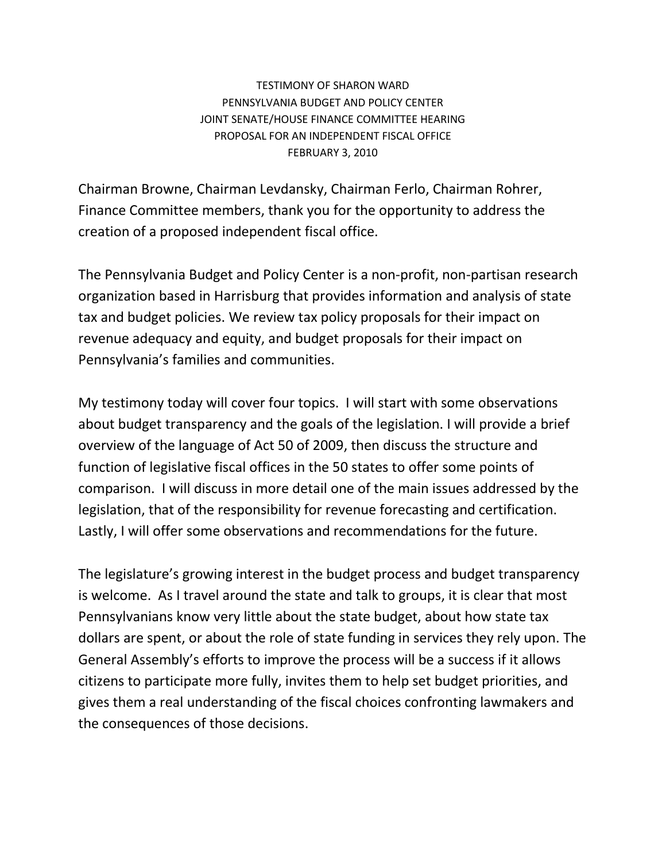TESTIMONY OF SHARON WARD PENNSYLVANIA BUDGET AND POLICY CENTER JOINT SENATE/HOUSE FINANCE COMMITTEE HEARING PROPOSAL FOR AN INDEPENDENT FISCAL OFFICE FEBRUARY 3, 2010

Chairman Browne, Chairman Levdansky, Chairman Ferlo, Chairman Rohrer, Finance Committee members, thank you for the opportunity to address the creation of a proposed independent fiscal office.

The Pennsylvania Budget and Policy Center is a non-profit, non-partisan research organization based in Harrisburg that provides information and analysis of state tax and budget policies. We review tax policy proposals for their impact on revenue adequacy and equity, and budget proposals for their impact on Pennsylvania's families and communities.

My testimony today will cover four topics. I will start with some observations about budget transparency and the goals of the legislation. I will provide a brief overview of the language of Act 50 of 2009, then discuss the structure and function of legislative fiscal offices in the 50 states to offer some points of comparison. I will discuss in more detail one of the main issues addressed by the legislation, that of the responsibility for revenue forecasting and certification. Lastly, I will offer some observations and recommendations for the future.

The legislature's growing interest in the budget process and budget transparency is welcome. As I travel around the state and talk to groups, it is clear that most Pennsylvanians know very little about the state budget, about how state tax dollars are spent, or about the role of state funding in services they rely upon. The General Assembly's efforts to improve the process will be a success if it allows citizens to participate more fully, invites them to help set budget priorities, and gives them a real understanding of the fiscal choices confronting lawmakers and the consequences of those decisions.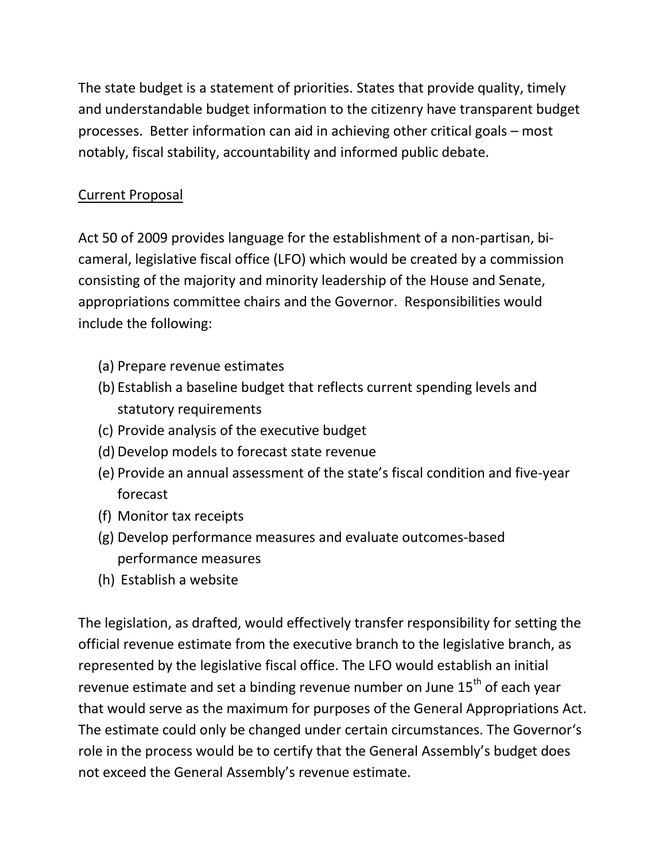The state budget is a statement of priorities. States that provide quality, timely and understandable budget information to the citizenry have transparent budget processes. Better information can aid in achieving other critical goals – most notably, fiscal stability, accountability and informed public debate.

### Current Proposal

Act 50 of 2009 provides language for the establishment of a non-partisan, bicameral, legislative fiscal office (LFO) which would be created by a commission consisting of the majority and minority leadership of the House and Senate, appropriations committee chairs and the Governor. Responsibilities would include the following:

- (a) Prepare revenue estimates
- (b) Establish a baseline budget that reflects current spending levels and statutory requirements
- (c) Provide analysis of the executive budget
- (d) Develop models to forecast state revenue
- (e) Provide an annual assessment of the state's fiscal condition and five-year forecast
- (f) Monitor tax receipts
- (g) Develop performance measures and evaluate outcomes-based performance measures
- (h) Establish a website

The legislation, as drafted, would effectively transfer responsibility for setting the official revenue estimate from the executive branch to the legislative branch, as represented by the legislative fiscal office. The LFO would establish an initial revenue estimate and set a binding revenue number on June 15<sup>th</sup> of each year that would serve as the maximum for purposes of the General Appropriations Act. The estimate could only be changed under certain circumstances. The Governor's role in the process would be to certify that the General Assembly's budget does not exceed the General Assembly's revenue estimate.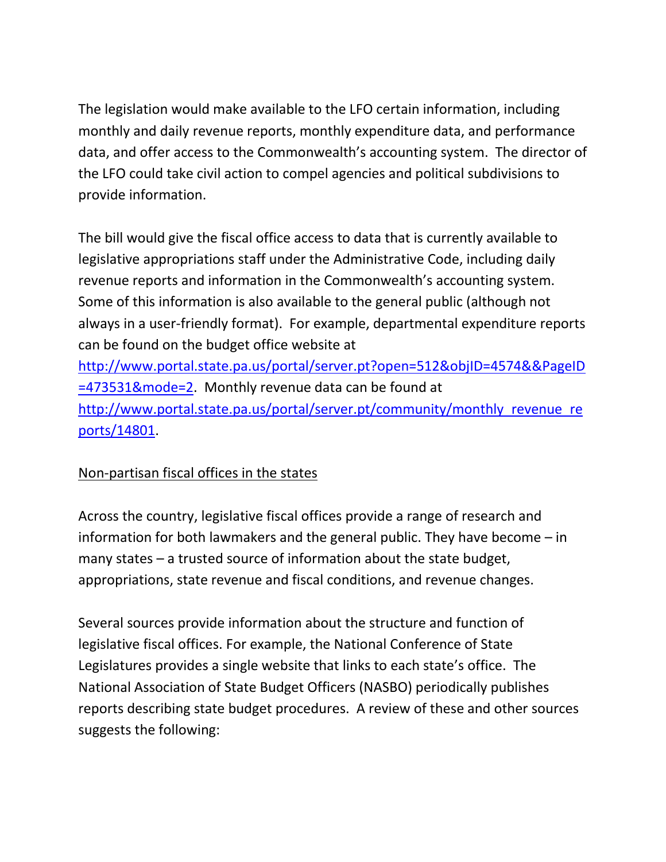The legislation would make available to the LFO certain information, including monthly and daily revenue reports, monthly expenditure data, and performance data, and offer access to the Commonwealth's accounting system. The director of the LFO could take civil action to compel agencies and political subdivisions to provide information.

The bill would give the fiscal office access to data that is currently available to legislative appropriations staff under the Administrative Code, including daily revenue reports and information in the Commonwealth's accounting system. Some of this information is also available to the general public (although not always in a user-friendly format). For example, departmental expenditure reports can be found on the budget office website at [http://www.portal.state.pa.us/portal/server.pt?open=512&objID=4574&&PageID](http://www.portal.state.pa.us/portal/server.pt?open=512&objID=4574&&PageID=473531&mode=2) [=473531&mode=2.](http://www.portal.state.pa.us/portal/server.pt?open=512&objID=4574&&PageID=473531&mode=2) Monthly revenue data can be found at [http://www.portal.state.pa.us/portal/server.pt/community/monthly\\_revenue\\_re](http://www.portal.state.pa.us/portal/server.pt/community/monthly_revenue_reports/14801) [ports/14801.](http://www.portal.state.pa.us/portal/server.pt/community/monthly_revenue_reports/14801)

### Non-partisan fiscal offices in the states

Across the country, legislative fiscal offices provide a range of research and information for both lawmakers and the general public. They have become – in many states – a trusted source of information about the state budget, appropriations, state revenue and fiscal conditions, and revenue changes.

Several sources provide information about the structure and function of legislative fiscal offices. For example, the National Conference of State Legislatures provides a single website that links to each state's office. The National Association of State Budget Officers (NASBO) periodically publishes reports describing state budget procedures. A review of these and other sources suggests the following: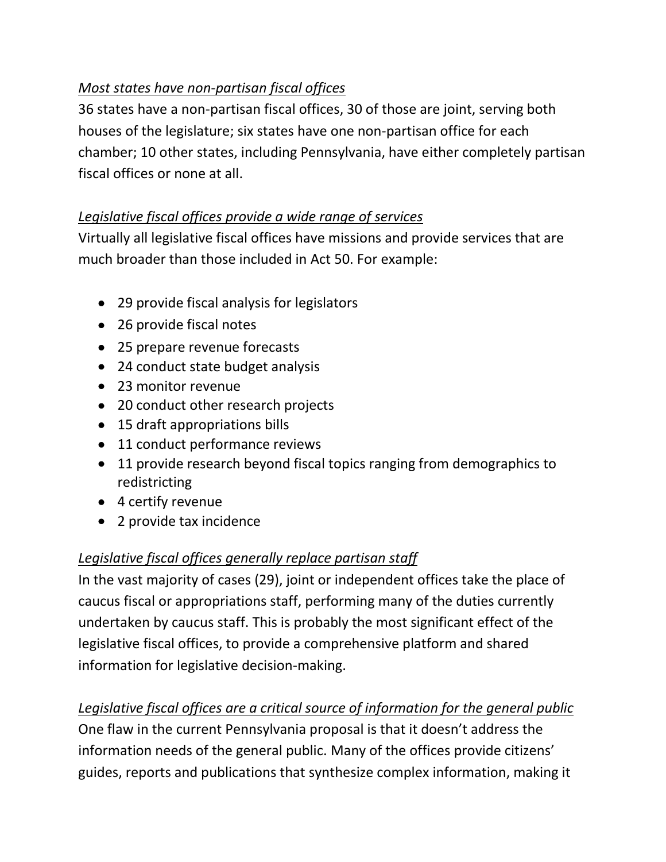## *Most states have non-partisan fiscal offices*

36 states have a non-partisan fiscal offices, 30 of those are joint, serving both houses of the legislature; six states have one non-partisan office for each chamber; 10 other states, including Pennsylvania, have either completely partisan fiscal offices or none at all.

## *Legislative fiscal offices provide a wide range of services*

Virtually all legislative fiscal offices have missions and provide services that are much broader than those included in Act 50. For example:

- 29 provide fiscal analysis for legislators
- 26 provide fiscal notes
- 25 prepare revenue forecasts
- 24 conduct state budget analysis
- 23 monitor revenue
- 20 conduct other research projects
- 15 draft appropriations bills
- 11 conduct performance reviews
- 11 provide research beyond fiscal topics ranging from demographics to redistricting
- 4 certify revenue
- 2 provide tax incidence

# *Legislative fiscal offices generally replace partisan staff*

In the vast majority of cases (29), joint or independent offices take the place of caucus fiscal or appropriations staff, performing many of the duties currently undertaken by caucus staff. This is probably the most significant effect of the legislative fiscal offices, to provide a comprehensive platform and shared information for legislative decision-making.

## *Legislative fiscal offices are a critical source of information for the general public*

One flaw in the current Pennsylvania proposal is that it doesn't address the information needs of the general public. Many of the offices provide citizens' guides, reports and publications that synthesize complex information, making it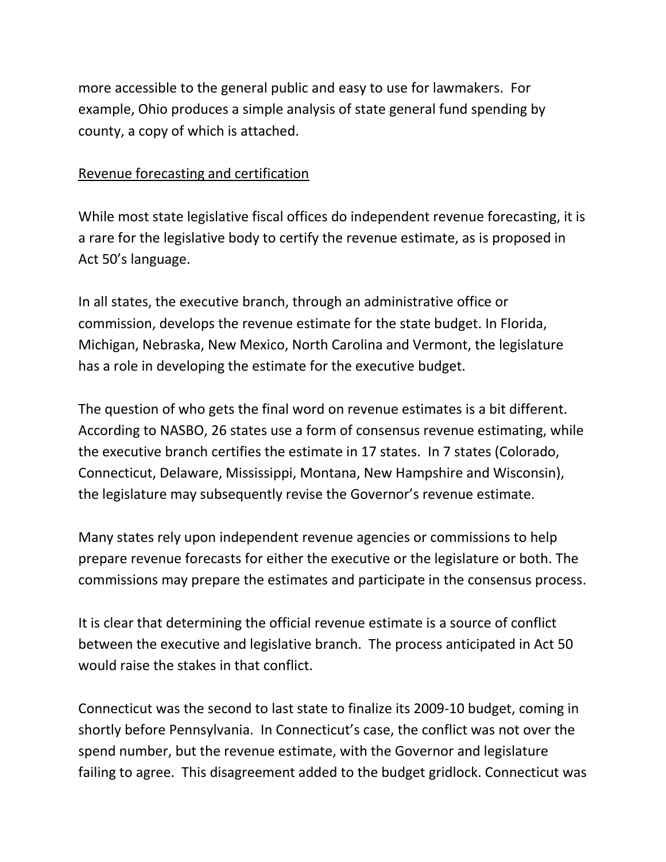more accessible to the general public and easy to use for lawmakers. For example, Ohio produces a simple analysis of state general fund spending by county, a copy of which is attached.

#### Revenue forecasting and certification

While most state legislative fiscal offices do independent revenue forecasting, it is a rare for the legislative body to certify the revenue estimate, as is proposed in Act 50's language.

In all states, the executive branch, through an administrative office or commission, develops the revenue estimate for the state budget. In Florida, Michigan, Nebraska, New Mexico, North Carolina and Vermont, the legislature has a role in developing the estimate for the executive budget.

The question of who gets the final word on revenue estimates is a bit different. According to NASBO, 26 states use a form of consensus revenue estimating, while the executive branch certifies the estimate in 17 states. In 7 states (Colorado, Connecticut, Delaware, Mississippi, Montana, New Hampshire and Wisconsin), the legislature may subsequently revise the Governor's revenue estimate.

Many states rely upon independent revenue agencies or commissions to help prepare revenue forecasts for either the executive or the legislature or both. The commissions may prepare the estimates and participate in the consensus process.

It is clear that determining the official revenue estimate is a source of conflict between the executive and legislative branch. The process anticipated in Act 50 would raise the stakes in that conflict.

Connecticut was the second to last state to finalize its 2009-10 budget, coming in shortly before Pennsylvania. In Connecticut's case, the conflict was not over the spend number, but the revenue estimate, with the Governor and legislature failing to agree. This disagreement added to the budget gridlock. Connecticut was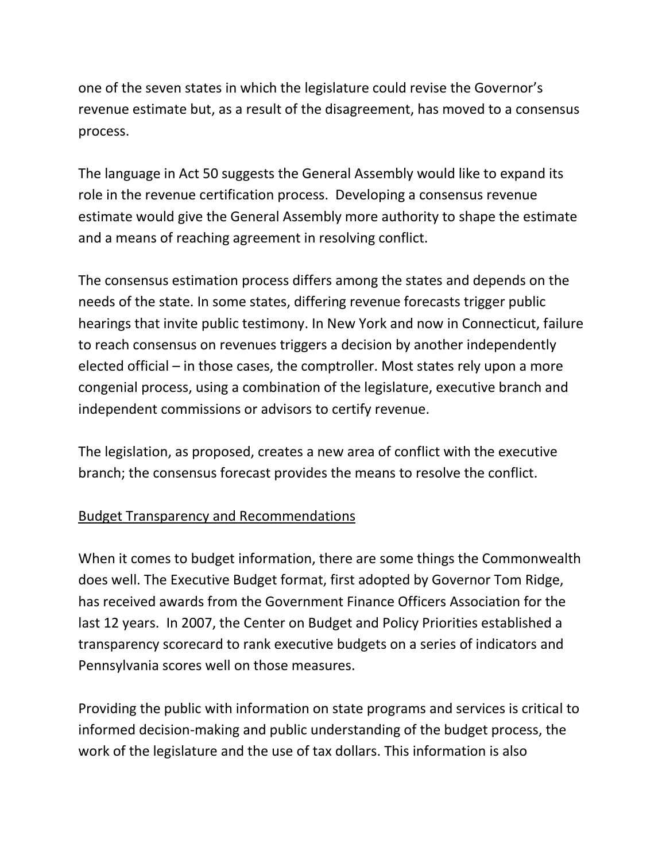one of the seven states in which the legislature could revise the Governor's revenue estimate but, as a result of the disagreement, has moved to a consensus process.

The language in Act 50 suggests the General Assembly would like to expand its role in the revenue certification process. Developing a consensus revenue estimate would give the General Assembly more authority to shape the estimate and a means of reaching agreement in resolving conflict.

The consensus estimation process differs among the states and depends on the needs of the state. In some states, differing revenue forecasts trigger public hearings that invite public testimony. In New York and now in Connecticut, failure to reach consensus on revenues triggers a decision by another independently elected official – in those cases, the comptroller. Most states rely upon a more congenial process, using a combination of the legislature, executive branch and independent commissions or advisors to certify revenue.

The legislation, as proposed, creates a new area of conflict with the executive branch; the consensus forecast provides the means to resolve the conflict.

#### Budget Transparency and Recommendations

When it comes to budget information, there are some things the Commonwealth does well. The Executive Budget format, first adopted by Governor Tom Ridge, has received awards from the Government Finance Officers Association for the last 12 years. In 2007, the Center on Budget and Policy Priorities established a transparency scorecard to rank executive budgets on a series of indicators and Pennsylvania scores well on those measures.

Providing the public with information on state programs and services is critical to informed decision-making and public understanding of the budget process, the work of the legislature and the use of tax dollars. This information is also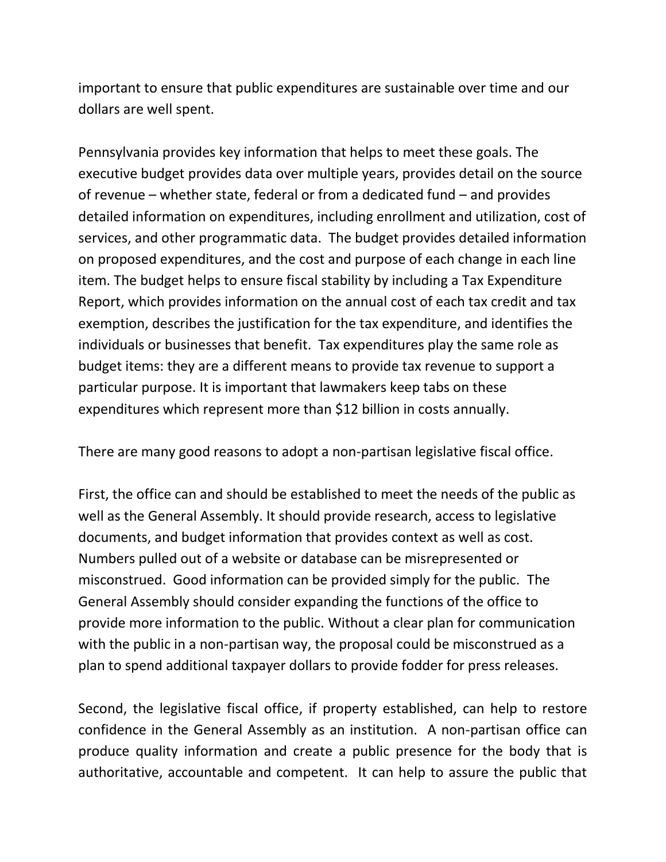important to ensure that public expenditures are sustainable over time and our dollars are well spent.

Pennsylvania provides key information that helps to meet these goals. The executive budget provides data over multiple years, provides detail on the source of revenue – whether state, federal or from a dedicated fund – and provides detailed information on expenditures, including enrollment and utilization, cost of services, and other programmatic data. The budget provides detailed information on proposed expenditures, and the cost and purpose of each change in each line item. The budget helps to ensure fiscal stability by including a Tax Expenditure Report, which provides information on the annual cost of each tax credit and tax exemption, describes the justification for the tax expenditure, and identifies the individuals or businesses that benefit. Tax expenditures play the same role as budget items: they are a different means to provide tax revenue to support a particular purpose. It is important that lawmakers keep tabs on these expenditures which represent more than \$12 billion in costs annually.

There are many good reasons to adopt a non-partisan legislative fiscal office.

First, the office can and should be established to meet the needs of the public as well as the General Assembly. It should provide research, access to legislative documents, and budget information that provides context as well as cost. Numbers pulled out of a website or database can be misrepresented or misconstrued. Good information can be provided simply for the public. The General Assembly should consider expanding the functions of the office to provide more information to the public. Without a clear plan for communication with the public in a non-partisan way, the proposal could be misconstrued as a plan to spend additional taxpayer dollars to provide fodder for press releases.

Second, the legislative fiscal office, if property established, can help to restore confidence in the General Assembly as an institution. A non-partisan office can produce quality information and create a public presence for the body that is authoritative, accountable and competent. It can help to assure the public that